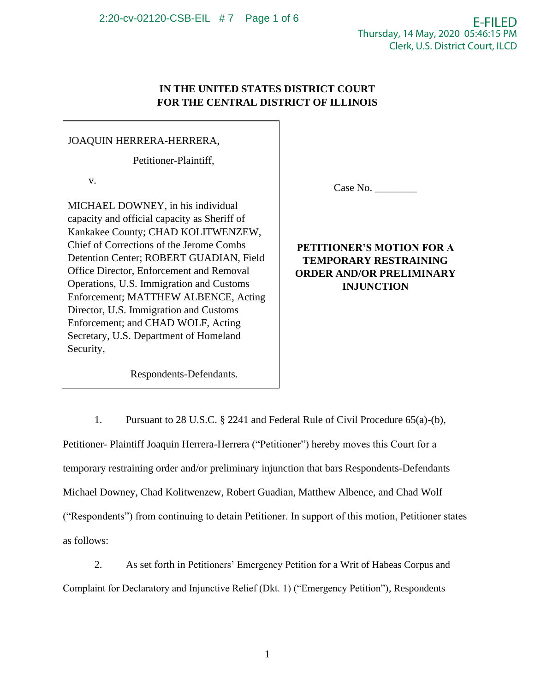# **IN THE UNITED STATES DISTRICT COURT FOR THE CENTRAL DISTRICT OF ILLINOIS**

# JOAQUIN HERRERA-HERRERA,

Petitioner-Plaintiff,

v.

MICHAEL DOWNEY, in his individual capacity and official capacity as Sheriff of Kankakee County; CHAD KOLITWENZEW, Chief of Corrections of the Jerome Combs Detention Center; ROBERT GUADIAN, Field Office Director, Enforcement and Removal Operations, U.S. Immigration and Customs Enforcement; MATTHEW ALBENCE, Acting Director, U.S. Immigration and Customs Enforcement; and CHAD WOLF, Acting Secretary, U.S. Department of Homeland Security,

Case No.

**PETITIONER'S MOTION FOR A TEMPORARY RESTRAINING ORDER AND/OR PRELIMINARY INJUNCTION**

Respondents-Defendants.

1. Pursuant to 28 U.S.C. § 2241 and Federal Rule of Civil Procedure 65(a)-(b), Petitioner- Plaintiff Joaquin Herrera-Herrera ("Petitioner") hereby moves this Court for a temporary restraining order and/or preliminary injunction that bars Respondents-Defendants Michael Downey, Chad Kolitwenzew, Robert Guadian, Matthew Albence, and Chad Wolf ("Respondents") from continuing to detain Petitioner. In support of this motion, Petitioner states as follows:

2. As set forth in Petitioners' Emergency Petition for a Writ of Habeas Corpus and Complaint for Declaratory and Injunctive Relief (Dkt. 1) ("Emergency Petition"), Respondents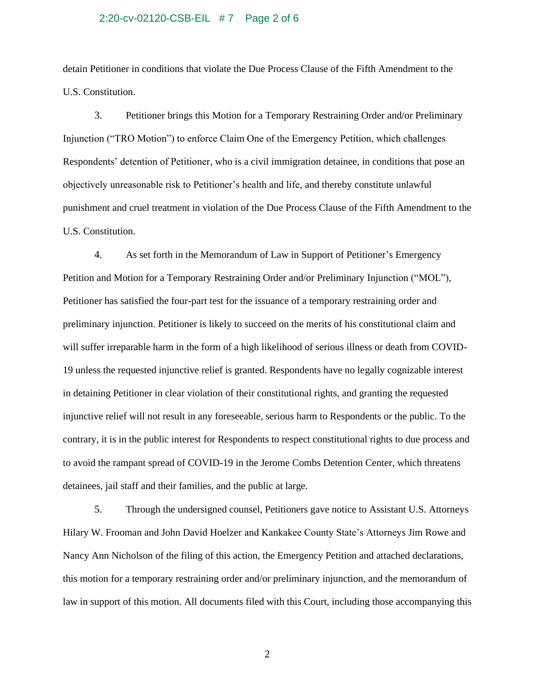### 2:20-cv-02120-CSB-EIL # 7 Page 2 of 6

detain Petitioner in conditions that violate the Due Process Clause of the Fifth Amendment to the U.S. Constitution.

3. Petitioner brings this Motion for a Temporary Restraining Order and/or Preliminary Injunction ("TRO Motion") to enforce Claim One of the Emergency Petition, which challenges Respondents' detention of Petitioner, who is a civil immigration detainee, in conditions that pose an objectively unreasonable risk to Petitioner's health and life, and thereby constitute unlawful punishment and cruel treatment in violation of the Due Process Clause of the Fifth Amendment to the U.S. Constitution.

4. As set forth in the Memorandum of Law in Support of Petitioner's Emergency Petition and Motion for a Temporary Restraining Order and/or Preliminary Injunction ("MOL"), Petitioner has satisfied the four-part test for the issuance of a temporary restraining order and preliminary injunction. Petitioner is likely to succeed on the merits of his constitutional claim and will suffer irreparable harm in the form of a high likelihood of serious illness or death from COVID-19 unless the requested injunctive relief is granted. Respondents have no legally cognizable interest in detaining Petitioner in clear violation of their constitutional rights, and granting the requested injunctive relief will not result in any foreseeable, serious harm to Respondents or the public. To the contrary, it is in the public interest for Respondents to respect constitutional rights to due process and to avoid the rampant spread of COVID-19 in the Jerome Combs Detention Center, which threatens detainees, jail staff and their families, and the public at large.

5. Through the undersigned counsel, Petitioners gave notice to Assistant U.S. Attorneys Hilary W. Frooman and John David Hoelzer and Kankakee County State's Attorneys Jim Rowe and Nancy Ann Nicholson of the filing of this action, the Emergency Petition and attached declarations, this motion for a temporary restraining order and/or preliminary injunction, and the memorandum of law in support of this motion. All documents filed with this Court, including those accompanying this

2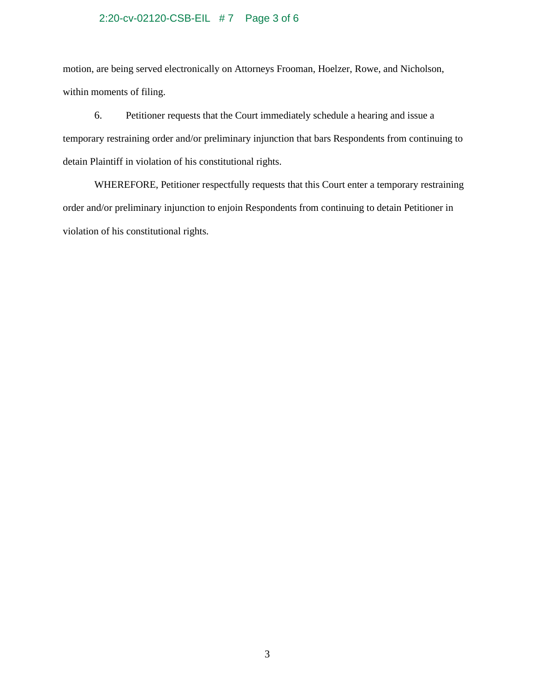# 2:20-cv-02120-CSB-EIL # 7 Page 3 of 6

motion, are being served electronically on Attorneys Frooman, Hoelzer, Rowe, and Nicholson, within moments of filing.

6. Petitioner requests that the Court immediately schedule a hearing and issue a temporary restraining order and/or preliminary injunction that bars Respondents from continuing to detain Plaintiff in violation of his constitutional rights.

WHEREFORE, Petitioner respectfully requests that this Court enter a temporary restraining order and/or preliminary injunction to enjoin Respondents from continuing to detain Petitioner in violation of his constitutional rights.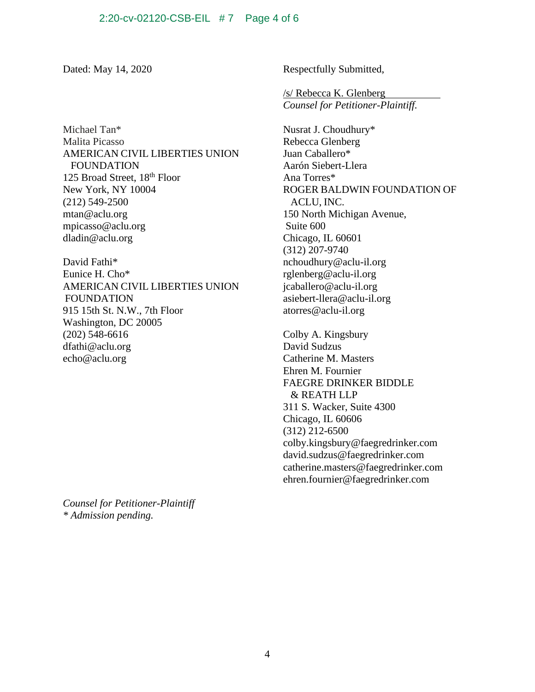Michael Tan\* Malita Picasso AMERICAN CIVIL LIBERTIES UNION FOUNDATION 125 Broad Street, 18<sup>th</sup> Floor New York, NY 10004 (212) 549-2500 mtan@aclu.org [mpicasso@aclu.org](mailto:mpicasso@aclu.org) [dladin@aclu.org](mailto:dladin@aclu.org)

David Fathi\* Eunice H. Cho\* AMERICAN CIVIL LIBERTIES UNION FOUNDATION 915 15th St. N.W., 7th Floor Washington, DC 20005 (202) 548-6616 [dfathi@aclu.org](mailto:dfathi@aclu.org) [echo@aclu.org](mailto:echo@aclu.org)

*Counsel for Petitioner-Plaintiff \* Admission pending.*

Dated: May 14, 2020 Respectfully Submitted,

/s/ Rebecca K. Glenberg *Counsel for Petitioner-Plaintiff.*

Nusrat J. Choudhury\* Rebecca Glenberg Juan Caballero\* Aarón Siebert-Llera Ana Torres\* ROGER BALDWIN FOUNDATION OF ACLU, INC. 150 North Michigan Avenue, Suite 600 Chicago, IL 60601 (312) 207-9740 nchoudhury@aclu-il.org rglenberg@aclu-il.org [jcaballero@aclu-il.org](mailto:jcaballero@aclu-il.org) [asiebert-llera@aclu-il.org](mailto:asiebert-llera@aclu-il.org) atorres@aclu-il.org

Colby A. Kingsbury David Sudzus Catherine M. Masters Ehren M. Fournier FAEGRE DRINKER BIDDLE & REATH LLP 311 S. Wacker, Suite 4300 Chicago, IL 60606 (312) 212-6500 [colby.kingsbury@faegredrinker.com](mailto:Colby.Kingsbury@faegredrinker.com) [david.sudzus@faegredrinker.com](mailto:david.sudzus@faegredrinker.com) catherine.masters@faegredrinker.com ehren.fournier@faegredrinker.com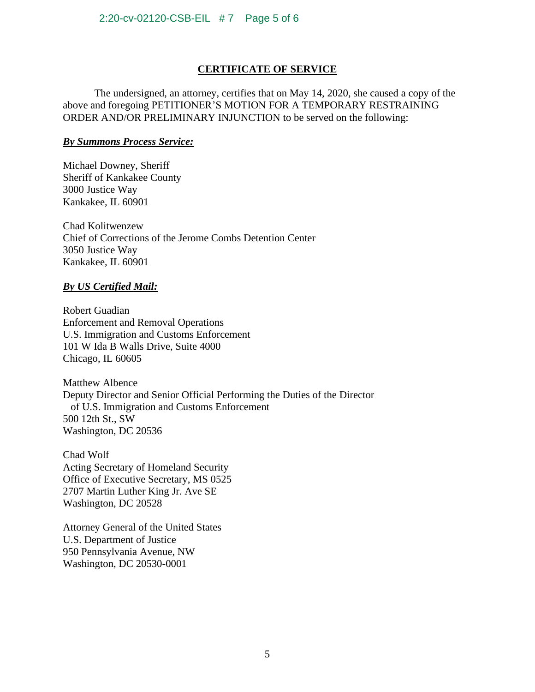# **CERTIFICATE OF SERVICE**

The undersigned, an attorney, certifies that on May 14, 2020, she caused a copy of the above and foregoing PETITIONER'S MOTION FOR A TEMPORARY RESTRAINING ORDER AND/OR PRELIMINARY INJUNCTION to be served on the following:

## *By Summons Process Service:*

Michael Downey, Sheriff Sheriff of Kankakee County 3000 Justice Way Kankakee, IL 60901

Chad Kolitwenzew Chief of Corrections of the Jerome Combs Detention Center 3050 Justice Way Kankakee, IL 60901

## *By US Certified Mail:*

Robert Guadian Enforcement and Removal Operations U.S. Immigration and Customs Enforcement 101 W Ida B Walls Drive, Suite 4000 Chicago, IL 60605

Matthew Albence Deputy Director and Senior Official Performing the Duties of the Director of U.S. Immigration and Customs Enforcement 500 12th St., SW Washington, DC 20536

Chad Wolf Acting Secretary of Homeland Security Office of Executive Secretary, MS 0525 2707 Martin Luther King Jr. Ave SE Washington, DC 20528

Attorney General of the United States U.S. Department of Justice 950 Pennsylvania Avenue, NW Washington, DC 20530-0001